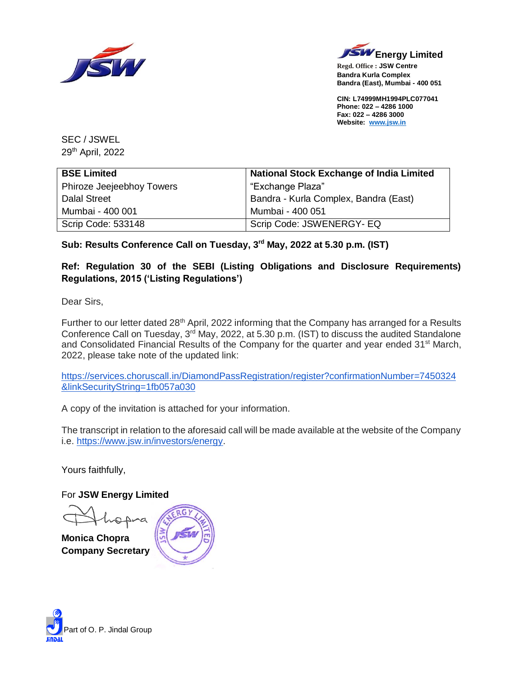



**Regd. Office : JSW Centre Bandra Kurla Complex Bandra (East), Mumbai - 400 051**

**CIN: L74999MH1994PLC077041 Phone: 022 – 4286 1000 Fax: 022 – 4286 3000 Website: [www.jsw.in](http://www.jsw.in/)**

SEC / JSWEL 29<sup>th</sup> April, 2022

| <b>National Stock Exchange of India Limited</b><br><b>BSE Limited</b> |                                       |  |
|-----------------------------------------------------------------------|---------------------------------------|--|
| Phiroze Jeejeebhoy Towers                                             | "Exchange Plaza"                      |  |
| Dalal Street                                                          | Bandra - Kurla Complex, Bandra (East) |  |
| Mumbai - 400 001                                                      | Mumbai - 400 051                      |  |
| Scrip Code: 533148                                                    | Scrip Code: JSWENERGY- EQ             |  |

## **Sub: Results Conference Call on Tuesday, 3 rd May, 2022 at 5.30 p.m. (IST)**

### **Ref: Regulation 30 of the SEBI (Listing Obligations and Disclosure Requirements) Regulations, 2015 ('Listing Regulations')**

Dear Sirs,

Further to our letter dated 28<sup>th</sup> April, 2022 informing that the Company has arranged for a Results Conference Call on Tuesday, 3<sup>rd</sup> May, 2022, at 5.30 p.m. (IST) to discuss the audited Standalone and Consolidated Financial Results of the Company for the quarter and year ended 31<sup>st</sup> March, 2022, please take note of the updated link:

[https://services.choruscall.in/DiamondPassRegistration/register?confirmationNumber=7450324](https://services.choruscall.in/DiamondPassRegistration/register?confirmationNumber=7450324&linkSecurityString=1fb057a030) [&linkSecurityString=1fb057a030](https://services.choruscall.in/DiamondPassRegistration/register?confirmationNumber=7450324&linkSecurityString=1fb057a030)

A copy of the invitation is attached for your information.

The transcript in relation to the aforesaid call will be made available at the website of the Company i.e. [https://www.jsw.in/investors/energy.](https://www.jsw.in/investors/energy)

Yours faithfully,

For **JSW Energy Limited**

na

**Monica Chopra Company Secretary**